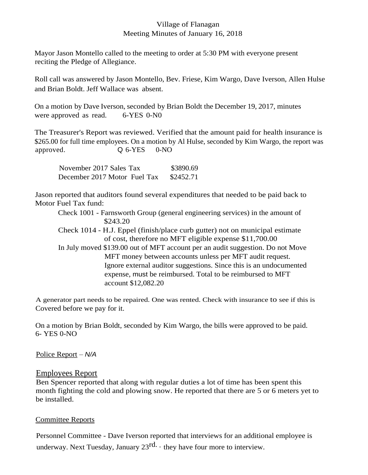## Village of Flanagan Meeting Minutes of January 16, 2018

Mayor Jason Montello called to the meeting to order at 5:30 PM with everyone present reciting the Pledge of Allegiance.

Roll call was answered by Jason Montello, Bev. Friese, Kim Wargo, Dave Iverson, Allen Hulse and Brian Boldt. Jeff Wallace was absent.

On a motion by Dave Iverson, seconded by Brian Boldt the December 19, 2017, minutes were approved as read. 6-YES 0-N0

The Treasurer's Report was reviewed. Verified that the amount paid for health insurance is \$265.00 for full time employees. On a motion by Al Hulse, seconded by Kim Wargo, the report was approved. Q 6-YES 0-NO

| November 2017 Sales Tax      | \$3890.69 |
|------------------------------|-----------|
| December 2017 Motor Fuel Tax | \$2452.71 |

Jason reported that auditors found several expenditures that needed to be paid back to Motor Fuel Tax fund:

Check 1001 - Farnsworth Group (general engineering services) in the amount of \$243.20

Check 1014 - H.J. Eppel (finish/place curb gutter) not on municipal estimate of cost, therefore no MFT eligible expense \$11,700.00

In July moved \$139.00 out of MFT account per an audit suggestion. Do not Move MFT money between accounts unless per MFT audit request. Ignore external auditor suggestions. Since this is an undocumented expense, must be reimbursed. Total to be reimbursed to MFT account \$12,082.20

A generator part needs to be repaired. One was rented. Check with insurance to see if this is Covered before we pay for it.

On a motion by Brian Boldt, seconded by Kim Wargo, the bills were approved to be paid. 6- YES 0-NO

Police Report – *N/A*

## Employees Report

Ben Spencer reported that along with regular duties a lot of time has been spent this month fighting the cold and plowing snow. He reported that there are 5 or 6 meters yet to be installed.

## Committee Reports

Personnel Committee - Dave Iverson reported that interviews for an additional employee is underway. Next Tuesday, January  $23^{\text{rd}} \cdot$  they have four more to interview.